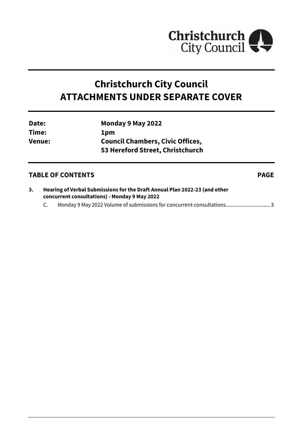

# **Christchurch City Council ATTACHMENTS UNDER SEPARATE COVER**

| Date:  | Monday 9 May 2022                       |
|--------|-----------------------------------------|
| Time:  | 1 <sub>pm</sub>                         |
| Venue: | <b>Council Chambers, Civic Offices,</b> |
|        | 53 Hereford Street, Christchurch        |

## **TABLE OF CONTENTS PAGE**

- **3. Hearing of Verbal Submissions for the Draft Annual Plan 2022-23 (and other concurrent consultations) - Monday 9 May 2022**
	- C. Monday 9 May 2022 Volume of submissions for concurrent consultations................................. [3](#page-2-0)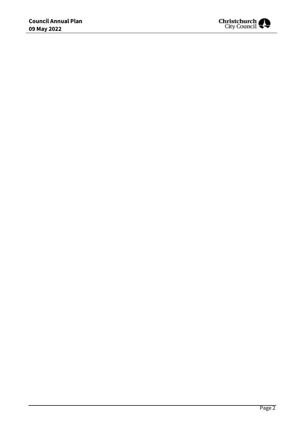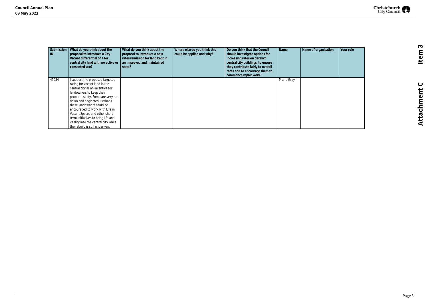<span id="page-2-0"></span>

| Submission<br>ID | What do you think about the<br>proposal to introduce a City<br>Vacant differential of 4 for<br>central city land with no active or<br>consented use?                                                                                                                                                                                                                                                                   | What do you think about the<br>proposal to introduce a new<br>rates remission for land kept in<br>an improved and maintained<br>state? | Where else do you think this<br>could be applied and why? | Do you think that the Council<br>should investigate options for<br>increasing rates on derelict<br>central city buildings, to ensure<br>they contribute fairly to overall<br>rates and to encourage them to<br>commence repair work? | Name       | Name of organisation | Your role |
|------------------|------------------------------------------------------------------------------------------------------------------------------------------------------------------------------------------------------------------------------------------------------------------------------------------------------------------------------------------------------------------------------------------------------------------------|----------------------------------------------------------------------------------------------------------------------------------------|-----------------------------------------------------------|--------------------------------------------------------------------------------------------------------------------------------------------------------------------------------------------------------------------------------------|------------|----------------------|-----------|
| 45984            | I support the proposed targeted<br>rating for vacant land in the<br>central city as an incentive for<br>landowners to keep their<br>properties tidy. Some are very run<br>down and neglected. Perhaps<br>these landowners could be<br>encouraged to work with Life in<br>Vacant Spaces and other short<br>term initiatives to bring life and<br>vitality into the central city while<br>the rebuild is still underway. |                                                                                                                                        |                                                           |                                                                                                                                                                                                                                      | Marie Gray |                      |           |

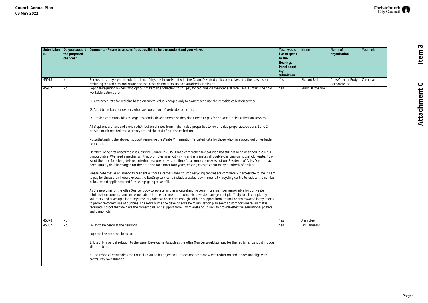| Submission<br> D | Do you support<br>the proposed<br>changes? | Comments - Please be as specific as possible to help us understand your views                                                                                                                                                                                                                                                                                                                                                                                                                                                                                                                                                                                                | Yes, I would<br>like to speak<br>to the<br><b>Hearings</b><br>Panel about<br>my<br>submission | Name                | Name of<br>organisation              | Your role |
|------------------|--------------------------------------------|------------------------------------------------------------------------------------------------------------------------------------------------------------------------------------------------------------------------------------------------------------------------------------------------------------------------------------------------------------------------------------------------------------------------------------------------------------------------------------------------------------------------------------------------------------------------------------------------------------------------------------------------------------------------------|-----------------------------------------------------------------------------------------------|---------------------|--------------------------------------|-----------|
| 45918            | No                                         | Because it is only a partial solution, is not fairy, it is inconsistent with the Council's stated policy objectives, and the reasons for<br>excluding the red bins and waste disposal costs do not stack up. See attached submission.                                                                                                                                                                                                                                                                                                                                                                                                                                        | Yes                                                                                           | <b>Richard Ball</b> | Atlas Quarter Body<br>Corporate Inc. | Chairman  |
| 45907            | No                                         | I oppose requiring owners who opt out of kerbside collection to still pay for red bins via their general rate. This is unfair. The only<br>workable options are:<br>1. A targeted rate for red bins based on capital value, charged only to owners who use the kerbside collection service.                                                                                                                                                                                                                                                                                                                                                                                  | Yes                                                                                           | Mark Darbyshire     |                                      |           |
|                  |                                            | 2. A red bin rebate for owners who have opted out of kerbside collection.                                                                                                                                                                                                                                                                                                                                                                                                                                                                                                                                                                                                    |                                                                                               |                     |                                      |           |
|                  |                                            | 3. Provide communal bins to large residential developments so they don't need to pay for private rubbish collection services.                                                                                                                                                                                                                                                                                                                                                                                                                                                                                                                                                |                                                                                               |                     |                                      |           |
|                  |                                            | All 3 options are fair, and avoid redistribution of rates from higher-value properties to lower-value properties. Options 1 and 2<br>provide much-needed transparency around the cost of rubbish collection.                                                                                                                                                                                                                                                                                                                                                                                                                                                                 |                                                                                               |                     |                                      |           |
|                  |                                            | Notwithstanding the above, I support removing the Waste Minimisation Targeted Rate for those who have opted out of kerbside<br>collection.                                                                                                                                                                                                                                                                                                                                                                                                                                                                                                                                   |                                                                                               |                     |                                      |           |
|                  |                                            | Fletcher Living first raised these issues with Council in 2015. That a comprehensive solution has still not been designed in 2022 is<br>unacceptable. We need a mechanism that promotes inner-city living and eliminates all double-charging on household waste. Now<br>is not the time for a long-delayed interim measure. Now is the time for a comprehensive solution. Residents of Atlas Quarter have<br>been unfairly double-charged for their rubbish for almost four years, costing each resident many hundreds of dollars.                                                                                                                                           |                                                                                               |                     |                                      |           |
|                  |                                            | Please note that as an inner-city resident without a carpark the EcoDrop recycling centres are completely inaccessible to me. If I am<br>to pay for these then I would expect the EcoDrop service to include a scaled-down inner-city recycling centre to reduce the number<br>of household appliances and furnishings going to landfill.                                                                                                                                                                                                                                                                                                                                    |                                                                                               |                     |                                      |           |
|                  |                                            | As the new chair of the Atlas Quarter body corporate, and as a long-standing committee member responsible for our waste<br>minimisation comms, I am concerned about the requirement to "complete a waste management plan". My role is completely<br>voluntary and takes up a lot of my time. My role has been hard enough, with no support from Council or Envirowaste in my efforts<br>to promote correct use of our bins. The extra burden to develop a waste minimisation plan seems disproportionate. All that is<br>required is proof that we have the correct bins, and support from Envirowaste or Council to provide effective educational posters<br>and pamphlets. |                                                                                               |                     |                                      |           |
| 45878            | No                                         |                                                                                                                                                                                                                                                                                                                                                                                                                                                                                                                                                                                                                                                                              | Yes                                                                                           | Alan Steel          |                                      |           |
| 45867            | No                                         | I wish to be heard at the hearings.<br>I oppose the proposal because:<br>1. It is only a partial solution to the issue. Developments such as the Atlas Quarter would still pay for the red bins. It should include<br>all three bins.                                                                                                                                                                                                                                                                                                                                                                                                                                        | Yes                                                                                           | Tim Jamieson        |                                      |           |
|                  |                                            | 2. The Proposal contradicts the Councils own policy objectives. It does not promote waste reduction and it does not align with<br>central city revitalisation.                                                                                                                                                                                                                                                                                                                                                                                                                                                                                                               |                                                                                               |                     |                                      |           |

| <b>Christchurch</b><br>City Council |  |
|-------------------------------------|--|
|                                     |  |

Item<sub>3</sub> **Attachment C Item 3** Attachment C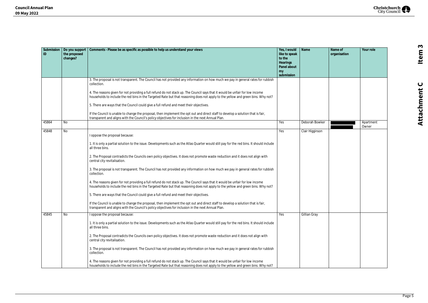| Submission<br>ID | Do you support<br>the proposed<br>changes? | Comments - Please be as specific as possible to help us understand your views                                                                                                                                                                                     | Yes, I would<br>like to speak<br>to the<br><b>Hearings</b><br>Panel about<br>my<br>submission | Name            | Name of<br>organisation | Your role          |
|------------------|--------------------------------------------|-------------------------------------------------------------------------------------------------------------------------------------------------------------------------------------------------------------------------------------------------------------------|-----------------------------------------------------------------------------------------------|-----------------|-------------------------|--------------------|
|                  |                                            | 3. The proposal is not transparent. The Council has not provided any information on how much we pay in general rates for rubbish<br>collection.                                                                                                                   |                                                                                               |                 |                         |                    |
|                  |                                            | 4. The reasons given for not providing a full refund do not stack up. The Council says that it would be unfair for low income<br>households to include the red bins in the Targeted Rate but that reasoning does not apply to the yellow and green bins. Why not? |                                                                                               |                 |                         |                    |
|                  |                                            | 5. There are ways that the Council could give a full refund and meet their objectives.                                                                                                                                                                            |                                                                                               |                 |                         |                    |
|                  |                                            | If the Council is unable to change the proposal, then implement the opt out and direct staff to develop a solution that is fair,<br>transparent and aligns with the Council's policy objectives for inclusion in the next Annual Plan.                            |                                                                                               |                 |                         |                    |
| 45864            | No                                         |                                                                                                                                                                                                                                                                   | Yes                                                                                           | Deborah Bowker  |                         | Apartment<br>Owner |
| 45848            | <b>No</b>                                  | I oppose the proposal because:                                                                                                                                                                                                                                    | Yes                                                                                           | Clair Higginson |                         |                    |
|                  |                                            | 1. It is only a partial solution to the issue. Developments such as the Atlas Quarter would still pay for the red bins. It should include<br>all three bins.                                                                                                      |                                                                                               |                 |                         |                    |
|                  |                                            | 2. The Proposal contradicts the Councils own policy objectives. It does not promote waste reduction and it does not align with<br>central city revitalisation.                                                                                                    |                                                                                               |                 |                         |                    |
|                  |                                            | 3. The proposal is not transparent. The Council has not provided any information on how much we pay in general rates for rubbish<br>collection.                                                                                                                   |                                                                                               |                 |                         |                    |
|                  |                                            | 4. The reasons given for not providing a full refund do not stack up. The Council says that it would be unfair for low income<br>households to include the red bins in the Targeted Rate but that reasoning does not apply to the yellow and green bins. Why not? |                                                                                               |                 |                         |                    |
|                  |                                            | 5. There are ways that the Council could give a full refund and meet their objectives.                                                                                                                                                                            |                                                                                               |                 |                         |                    |
|                  |                                            | If the Council is unable to change the proposal, then implement the opt out and direct staff to develop a solution that is fair,<br>transparent and aligns with the Council's policy objectives for inclusion in the next Annual Plan.                            |                                                                                               |                 |                         |                    |
| 45845            | <b>No</b>                                  | I oppose the proposal because:                                                                                                                                                                                                                                    | Yes                                                                                           | Gillian Gray    |                         |                    |
|                  |                                            | 1. It is only a partial solution to the issue. Developments such as the Atlas Quarter would still pay for the red bins. It should include<br>all three bins.                                                                                                      |                                                                                               |                 |                         |                    |
|                  |                                            | 2. The Proposal contradicts the Councils own policy objectives. It does not promote waste reduction and it does not align with<br>central city revitalisation.                                                                                                    |                                                                                               |                 |                         |                    |
|                  |                                            | 3. The proposal is not transparent. The Council has not provided any information on how much we pay in general rates for rubbish<br>collection.                                                                                                                   |                                                                                               |                 |                         |                    |
|                  |                                            | 4. The reasons given for not providing a full refund do not stack up. The Council says that it would be unfair for low income<br>households to include the red bins in the Targeted Rate but that reasoning does not apply to the yellow and green bins. Why not? |                                                                                               |                 |                         |                    |

| Christchurch<br>City Council |  |
|------------------------------|--|
|                              |  |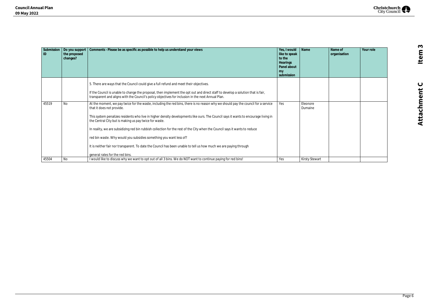Page 6



| Submission<br>$\overline{1}$ | Do you support<br>the proposed<br>changes? | Comments - Please be as specific as possible to help us understand your views                                                                                                                                                                                                                                                                                                                                                                                                                                                                                                                                                                                                                                                | Yes, I would<br>like to speak<br>to the<br><b>Hearings</b><br>Panel about<br>my<br>submission | Name                  | Name of<br>organisation | Your role |
|------------------------------|--------------------------------------------|------------------------------------------------------------------------------------------------------------------------------------------------------------------------------------------------------------------------------------------------------------------------------------------------------------------------------------------------------------------------------------------------------------------------------------------------------------------------------------------------------------------------------------------------------------------------------------------------------------------------------------------------------------------------------------------------------------------------------|-----------------------------------------------------------------------------------------------|-----------------------|-------------------------|-----------|
|                              |                                            | 5. There are ways that the Council could give a full refund and meet their objectives.<br>If the Council is unable to change the proposal, then implement the opt out and direct staff to develop a solution that is fair,<br>transparent and aligns with the Council's policy objectives for inclusion in the next Annual Plan.                                                                                                                                                                                                                                                                                                                                                                                             |                                                                                               |                       |                         |           |
| 45519                        | No                                         | At the moment, we pay twice for the waste, including the red bins, there is no reason why we should pay the council for a service<br>that it does not provide.<br>This system penalizes residents who live in higher density developments like ours. The Council says it wants to encourage living in<br>the Central City but is making us pay twice for waste.<br>In reality, we are subsidizing red bin rubbish collection for the rest of the City when the Council says it wants to reduce<br>red bin waste. Why would you subsidies something you want less of?<br>It is neither fair nor transparent. To date the Council has been unable to tell us how much we are paying through<br>general rates for the red bins. | Yes                                                                                           | Eleonore<br>Dumaine   |                         |           |
| 45504                        | No                                         | I would like to discuss why we want to opt out of all 3 bins. We do NOT want to continue paying for red bins!                                                                                                                                                                                                                                                                                                                                                                                                                                                                                                                                                                                                                | Yes                                                                                           | <b>Kirsty Stewart</b> |                         |           |

Item<sub>3</sub> **Attachment C Item 3** Attachment C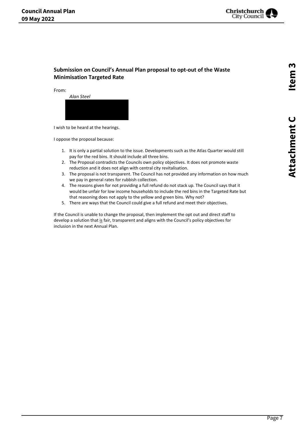## **Submission on Council's Annual Plan proposal to opt-out of the Waste Minimisation Targeted Rate**

From:



I wish to be heard at the hearings.

I oppose the proposal because:

- 1. It is only a partial solution to the issue. Developments such as the Atlas Quarter would still pay for the red bins. It should include all three bins.
- 2. The Proposal contradicts the Councils own policy objectives. It does not promote waste reduction and it does not align with central city revitalisation.
- 3. The proposal is not transparent. The Council has not provided any information on how much we pay in general rates for rubbish collection.
- 4. The reasons given for not providing a full refund do not stack up. The Council says that it would be unfair for low income households to include the red bins in the Targeted Rate but that reasoning does not apply to the yellow and green bins. Why not?
- 5. There are ways that the Council could give a full refund and meet their objectives.

If the Council is unable to change the proposal, then implement the opt out and direct staff to develop a solution that is fair, transparent and aligns with the Council's policy objectives for inclusion in the next Annual Plan.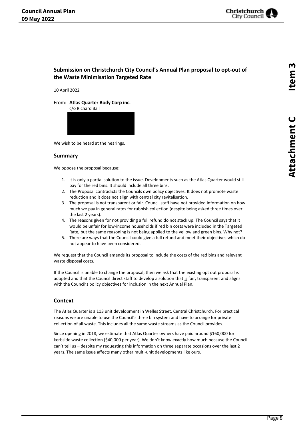## **Submission on Christchurch City Council's Annual Plan proposal to opt-out of the Waste Minimisation Targeted Rate**

10 April 2022

From: **Atlas Quarter Body Corp inc.**

c/o Richard Ball



We wish to be heard at the hearings.

#### **Summary**

We oppose the proposal because:

- 1. It is only a partial solution to the issue. Developments such as the Atlas Quarter would still pay for the red bins. It should include all three bins.
- 2. The Proposal contradicts the Councils own policy objectives. It does not promote waste reduction and it does not align with central city revitalisation.
- 3. The proposal is not transparent or fair. Council staff have not provided information on how much we pay in general rates for rubbish collection (despite being asked three times over the last 2 years).
- 4. The reasons given for not providing a full refund do not stack up. The Council says that it would be unfair for low-income households if red bin costs were included in the Targeted Rate, but the same reasoning is not being applied to the yellow and green bins. Why not?
- 5. There are ways that the Council could give a full refund and meet their objectives which do not appear to have been considered.

We request that the Council amends its proposal to include the costs of the red bins and relevant waste disposal costs.

If the Council is unable to change the proposal, then we ask that the existing opt out proposal is adopted and that the Council direct staff to develop a solution that is fair, transparent and aligns with the Council's policy objectives for inclusion in the next Annual Plan.

#### **Context**

The Atlas Quarter is a 113 unit development in Welles Street, Central Christchurch. For practical reasons we are unable to use the Council's three bin system and have to arrange for private collection of all waste. This includes all the same waste streams as the Council provides.

Since opening in 2018, we estimate that Atlas Quarter owners have paid around \$160,000 for kerbside waste collection (\$40,000 per year). We don't know exactly how much because the Council can't tell us – despite my requesting this information on three separate occasions over the last 2 years. The same issue affects many other multi-unit developments like ours.